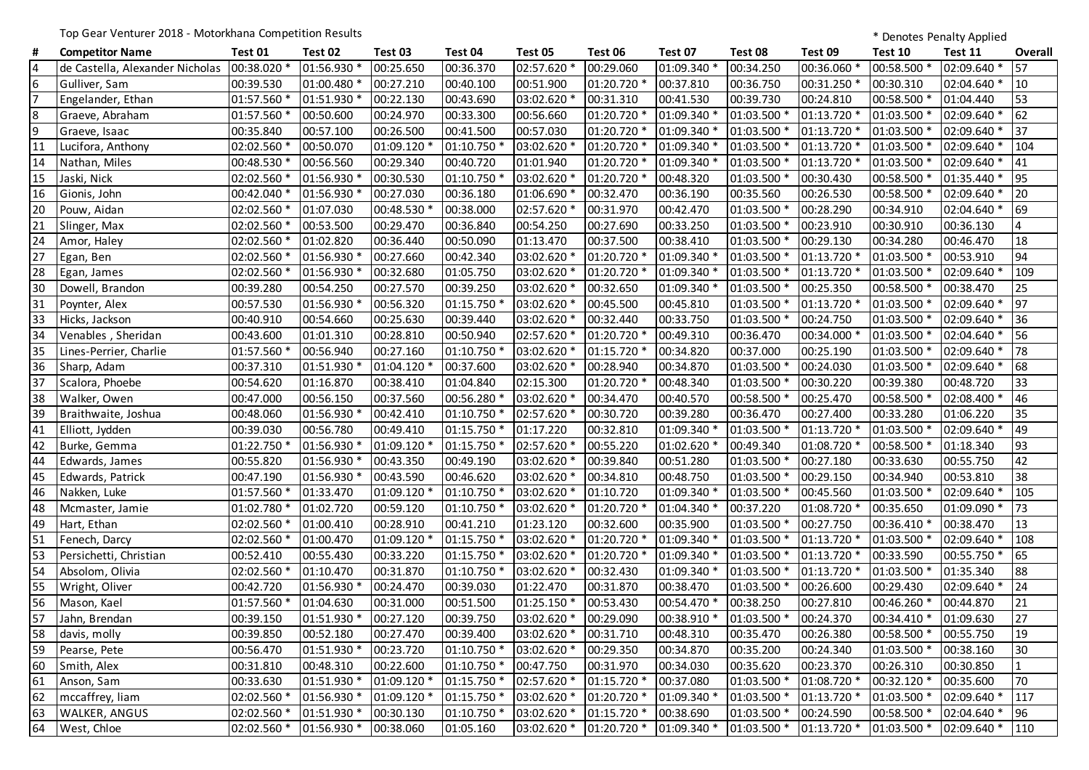Top Gear Venturer 2018 - Motorkhana Competition Results **the State of Competition Results** \* Denotes Penalty Applied

| #               | <b>Competitor Name</b>          | Test 01     | Test 02     | Test 03     | Test 04     | Test 05                 | Test 06      | Test 07     | Test 08                   | Test 09     | Test 10     | Test 11     | Overall |
|-----------------|---------------------------------|-------------|-------------|-------------|-------------|-------------------------|--------------|-------------|---------------------------|-------------|-------------|-------------|---------|
| $\overline{4}$  | de Castella, Alexander Nicholas | 00:38.020 * | 01:56.930 * | 00:25.650   | 00:36.370   | 02:57.620 *             | 00:29.060    | 01:09.340 * | 00:34.250                 | 00:36.060   | 00:58.500 * | 02:09.640 * | 57      |
| 6               | Gulliver, Sam                   | 00:39.530   | 01:00.480 * | 00:27.210   | 00:40.100   | 00:51.900               | 01:20.720 *  | 00:37.810   | 00:36.750                 | 00:31.250 * | 00:30.310   | 02:04.640 * | 10      |
| 7               | Engelander, Ethan               | 01:57.560 * | 01:51.930 * | 00:22.130   | 00:43.690   | 03:02.620 *             | 00:31.310    | 00:41.530   | 00:39.730                 | 00:24.810   | 00:58.500 * | 01:04.440   | 53      |
| $\overline{8}$  | Graeve, Abraham                 | 01:57.560 * | 00:50.600   | 00:24.970   | 00:33.300   | 00:56.660               | 01:20.720 *  | 01:09.340 * | 01:03.500 *               | 01:13.720 * | 01:03.500 * | 02:09.640 * | 62      |
| $\overline{9}$  | Graeve, Isaac                   | 00:35.840   | 00:57.100   | 00:26.500   | 00:41.500   | 00:57.030               | 01:20.720 *  | 01:09.340 * | 01:03.500 *               | 01:13.720 * | 01:03.500 * | 02:09.640 * | 37      |
| 11              | Lucifora, Anthony               | 02:02.560 * | 00:50.070   | 01:09.120 * | 01:10.750 * | 03:02.620 *             | 01:20.720 *  | 01:09.340 * | 01:03.500 *               | 01:13.720 * | 01:03.500 * | 02:09.640 * | 104     |
| 14              | Nathan, Miles                   | 00:48.530 * | 00:56.560   | 00:29.340   | 00:40.720   | 01:01.940               | 01:20.720 *  | 01:09.340 * | 01:03.500 *               | 01:13.720 * | 01:03.500 * | 02:09.640 * | 41      |
| 15              | Jaski, Nick                     | 02:02.560 * | 01:56.930 * | 00:30.530   | 01:10.750 * | 03:02.620 *             | 01:20.720 *  | 00:48.320   | 01:03.500 *               | 00:30.430   | 00:58.500 * | 01:35.440 * | 95      |
| 16              | Gionis, John                    | 00:42.040 * | 01:56.930 * | 00:27.030   | 00:36.180   | 01:06.690 *             | 00:32.470    | 00:36.190   | 00:35.560                 | 00:26.530   | 00:58.500 * | 02:09.640 * | 20      |
| 20              | Pouw, Aidan                     | 02:02.560 * | 01:07.030   | 00:48.530 * | 00:38.000   | 02:57.620 *             | 00:31.970    | 00:42.470   | 01:03.500 *               | 00:28.290   | 00:34.910   | 02:04.640 * | 69      |
| 21              | Slinger, Max                    | 02:02.560 * | 00:53.500   | 00:29.470   | 00:36.840   | 00:54.250               | 00:27.690    | 00:33.250   | 01:03.500                 | 00:23.910   | 00:30.910   | 00:36.130   | 4       |
| 24              | Amor, Haley                     | 02:02.560 * | 01:02.820   | 00:36.440   | 00:50.090   | 01:13.470               | 00:37.500    | 00:38.410   | 01:03.500 *               | 00:29.130   | 00:34.280   | 00:46.470   | 18      |
| 27              | Egan, Ben                       | 02:02.560 * | 01:56.930   | 00:27.660   | 00:42.340   | 03:02.620 *             | 01:20.720 *  | 01:09.340 * | 01:03.500 *               | 01:13.720 * | 01:03.500 * | 00:53.910   | 94      |
| 28              | Egan, James                     | 02:02.560 * | 01:56.930   | 00:32.680   | 01:05.750   | 03:02.620 *             | 01:20.720 *  | 01:09.340 * | 01:03.500 *               | 01:13.720 * | 01:03.500 * | 02:09.640 * | 109     |
| 30              | Dowell, Brandon                 | 00:39.280   | 00:54.250   | 00:27.570   | 00:39.250   | 03:02.620 *             | 00:32.650    | 01:09.340 * | 01:03.500 *               | 00:25.350   | 00:58.500 * | 00:38.470   | 25      |
| 31              | Poynter, Alex                   | 00:57.530   | 01:56.930   | 00:56.320   | 01:15.750   | 03:02.620 *             | 00:45.500    | 00:45.810   | 01:03.500 *               | 01:13.720 * | 01:03.500 * | 02:09.640 * | 97      |
| 33              | Hicks, Jackson                  | 00:40.910   | 00:54.660   | 00:25.630   | 00:39.440   | 03:02.620 *             | 00:32.440    | 00:33.750   | 01:03.500 *               | 00:24.750   | 01:03.500 * | 02:09.640 * | 36      |
| 34              | Venables, Sheridan              | 00:43.600   | 01:01.310   | 00:28.810   | 00:50.940   | 02:57.620 *             | 01:20.720 *  | 00:49.310   | 00:36.470                 | 00:34.000 * | 01:03.500 * | 02:04.640 * | 56      |
| 35              | Lines-Perrier, Charlie          | 01:57.560 * | 00:56.940   | 00:27.160   | 01:10.750   | 03:02.620 *             | 01:15.720 *  | 00:34.820   | 00:37.000                 | 00:25.190   | 01:03.500   | 02:09.640 * | 78      |
| 36              | Sharp, Adam                     | 00:37.310   | 01:51.930 * | 01:04.120 * | 00:37.600   | 03:02.620 *             | 00:28.940    | 00:34.870   | 01:03.500 *               | 00:24.030   | 01:03.500 * | 02:09.640 * | 68      |
| 37              | Scalora, Phoebe                 | 00:54.620   | 01:16.870   | 00:38.410   | 01:04.840   | 02:15.300               | 01:20.720 *  | 00:48.340   | 01:03.500 *               | 00:30.220   | 00:39.380   | 00:48.720   | 33      |
| 38              | Walker, Owen                    | 00:47.000   | 00:56.150   | 00:37.560   | 00:56.280   | 03:02.620 *             | 00:34.470    | 00:40.570   | 00:58.500 *               | 00:25.470   | 00:58.500 * | 02:08.400 * | 46      |
| 39              | Braithwaite, Joshua             | 00:48.060   | 01:56.930 * | 00:42.410   | 01:10.750 * | 02:57.620 *             | 00:30.720    | 00:39.280   | 00:36.470                 | 00:27.400   | 00:33.280   | 01:06.220   | 35      |
| 41              | Elliott, Jydden                 | 00:39.030   | 00:56.780   | 00:49.410   | 01:15.750 * | 01:17.220               | 00:32.810    | 01:09.340 * | 01:03.500 *               | 01:13.720 * | 01:03.500   | 02:09.640 * | 49      |
| 42              | Burke, Gemma                    | 01:22.750 * | 01:56.930 * | 01:09.120 * | 01:15.750 * | 02:57.620 *             | 00:55.220    | 01:02.620 * | 00:49.340                 | 01:08.720 * | 00:58.500 * | 01:18.340   | 93      |
| 44              | Edwards, James                  | 00:55.820   | 01:56.930 * | 00:43.350   | 00:49.190   | 03:02.620 *             | 00:39.840    | 00:51.280   | 01:03.500 *               | 00:27.180   | 00:33.630   | 00:55.750   | 42      |
| 45              | Edwards, Patrick                | 00:47.190   | 01:56.930 * | 00:43.590   | 00:46.620   | 03:02.620 *             | 00:34.810    | 00:48.750   | 01:03.500 *               | 00:29.150   | 00:34.940   | 00:53.810   | 38      |
| 46              | Nakken, Luke                    | 01:57.560 * | 01:33.470   | 01:09.120 * | 01:10.750 * | 03:02.620 *             | 01:10.720    | 01:09.340 * | 01:03.500 *               | 00:45.560   | 01:03.500 * | 02:09.640 * | 105     |
| 48              | Mcmaster, Jamie                 | 01:02.780 * | 01:02.720   | 00:59.120   | 01:10.750 * | 03:02.620 *             | 01:20.720 *  | 01:04.340 * | 00:37.220                 | 01:08.720 * | 00:35.650   | 01:09.090 * | 73      |
| 49              | Hart, Ethan                     | 02:02.560 * | 01:00.410   | 00:28.910   | 00:41.210   | 01:23.120               | 00:32.600    | 00:35.900   | 01:03.500 *               | 00:27.750   | 00:36.410 * | 00:38.470   | 13      |
| 51              | Fenech, Darcy                   | 02:02.560 * | 01:00.470   | 01:09.120 * | 01:15.750 * | 03:02.620 *             | 01:20.720 *  | 01:09.340 * | 01:03.500 *               | 01:13.720 * | 01:03.500 * | 02:09.640 * | 108     |
| 53              | Persichetti, Christian          | 00:52.410   | 00:55.430   | 00:33.220   | 01:15.750 * | 03:02.620 *             | 01:20.720 *  | 01:09.340 * | 01:03.500 *               | 01:13.720 * | 00:33.590   | 00:55.750 * | 65      |
| 54              | Absolom, Olivia                 | 02:02.560 * | 01:10.470   | 00:31.870   | 01:10.750 * | 03:02.620 *             | 00:32.430    | 01:09.340 * | 01:03.500 *               | 01:13.720 * | 01:03.500 * | 01:35.340   | 88      |
| 55              | Wright, Oliver                  | 00:42.720   | 01:56.930   | 00:24.470   | 00:39.030   | 01:22.470               | 00:31.870    | 00:38.470   | 01:03.500 *               | 00:26.600   | 00:29.430   | 02:09.640 * | 24      |
| 56              | Mason, Kael                     | 01:57.560 * | 01:04.630   | 00:31.000   | 00:51.500   | 01:25.150 *             | 00:53.430    | 00:54.470   | 00:38.250                 | 00:27.810   | 00:46.260 * | 00:44.870   | 21      |
| $\overline{57}$ | Jahn, Brendan                   | 00:39.150   | 01:51.930 * | 00:27.120   | 00:39.750   | 03:02.620 *             | 00:29.090    | 00:38.910 * | 01:03.500 *               | 00:24.370   | 00:34.410 * | 01:09.630   | 27      |
| 58              | davis, molly                    | 00:39.850   | 00:52.180   | 00:27.470   | 00:39.400   | 03:02.620 *             | 00:31.710    | 00:48.310   | 00:35.470                 | 00:26.380   | 00:58.500 * | 00:55.750   | 19      |
| 59              | Pearse, Pete                    | 00:56.470   | 01:51.930 * | 00:23.720   | 01:10.750 * | 03:02.620 *             | 00:29.350    | 00:34.870   | 00:35.200                 | 00:24.340   | 01:03.500 * | 00:38.160   | 30      |
| 60              | Smith, Alex                     | 00:31.810   | 00:48.310   | 00:22.600   | 01:10.750 * | 00:47.750               | 00:31.970    | 00:34.030   | 00:35.620                 | 00:23.370   | 00:26.310   | 00:30.850   |         |
|                 | 61 Anson, Sam                   | 00:33.630   | 01:51.930 * | 01:09.120 * | 01:15.750 * | 02:57.620 *             | 01:15.720 *  | 00:37.080   | 01:03.500 *               | 01:08.720 * | 00:32.120 * | 00:35.600   | 70      |
| 62              | mccaffrey, liam                 | 02:02.560 * | 01:56.930 * | 01:09.120 * | 01:15.750 * | 03:02.620 *             | 01:20.720 *  | 01:09.340 * | 01:03.500 *               | 01:13.720 * | 01:03.500 * | 02:09.640 * | 117     |
| 63              | <b>WALKER, ANGUS</b>            | 02:02.560 * | 01:51.930 * | 00:30.130   | 01:10.750 * | 03:02.620 *             | $01:15.720*$ | 00:38.690   | 01:03.500 *               | 00:24.590   | 00:58.500 * | 02:04.640 * | 96      |
|                 | 64 West, Chloe                  | 02:02.560 * | 01:56.930 * | 00:38.060   | 01:05.160   | 03:02.620 * 01:20.720 * |              | 01:09.340 * | $01:03.500 * 01:13.720 *$ |             | 01:03.500 * | 02:09.640 * | 110     |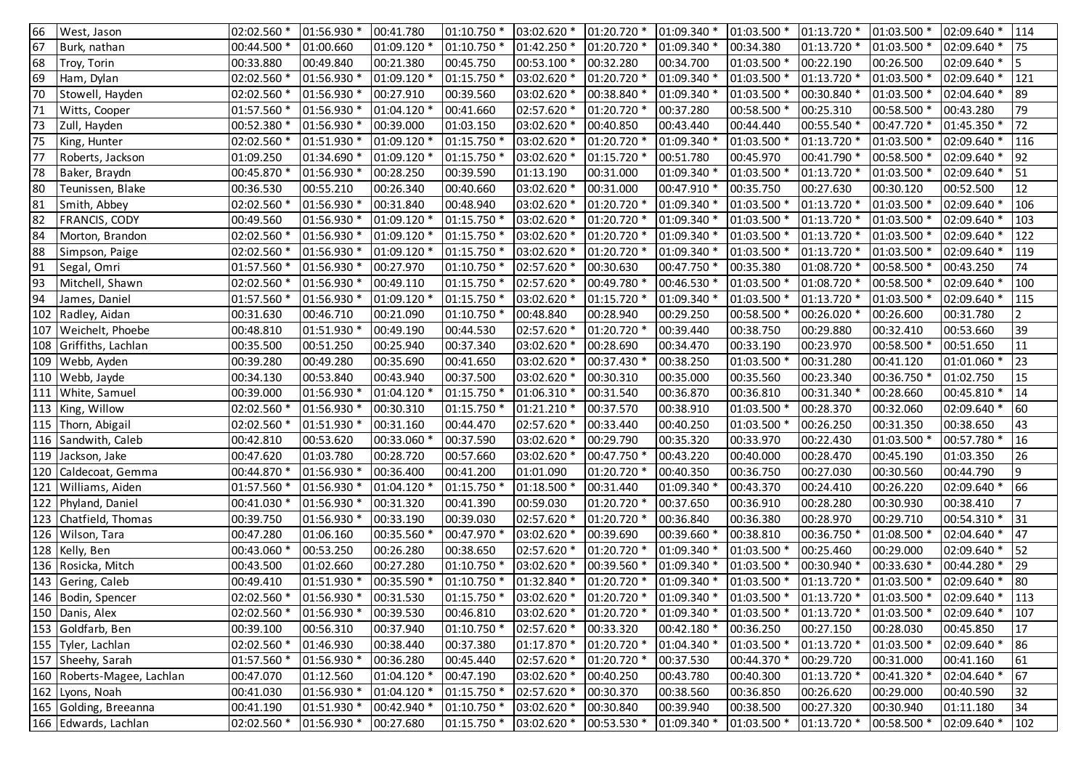| 66  | West, Jason                | 02:02.560 * | 01:56.930 * | 00:41.780   | 01:10.750   | 03:02.620 * | 01:20.720 * | 01:09.340 * | 01:03.500 *             | 01:13.720   | 01:03.500 * | 02:09.640 * | 114            |
|-----|----------------------------|-------------|-------------|-------------|-------------|-------------|-------------|-------------|-------------------------|-------------|-------------|-------------|----------------|
| 67  | Burk, nathan               | 00:44.500 * | 01:00.660   | 01:09.120 * | 01:10.750 * | 01:42.250 * | 01:20.720 * | 01:09.340 * | 00:34.380               | 01:13.720 * | 01:03.500 * | 02:09.640 * | 75             |
| 68  | Troy, Torin                | 00:33.880   | 00:49.840   | 00:21.380   | 00:45.750   | 00:53.100 * | 00:32.280   | 00:34.700   | 01:03.500 *             | 00:22.190   | 00:26.500   | 02:09.640 * | 5              |
| 69  | Ham, Dylan                 | 02:02.560 * | 01:56.930 * | 01:09.120 * | 01:15.750 * | 03:02.620 * | 01:20.720 * | 01:09.340 * | 01:03.500 *             | 01:13.720 * | 01:03.500 * | 02:09.640 * | 121            |
| 70  | Stowell, Hayden            | 02:02.560 * | 01:56.930 * | 00:27.910   | 00:39.560   | 03:02.620 * | 00:38.840 * | 01:09.340 * | 01:03.500 *             | 00:30.840   | 01:03.500 * | 02:04.640 * | 89             |
| 71  | Witts, Cooper              | 01:57.560 * | 01:56.930 * | 01:04.120 * | 00:41.660   | 02:57.620 * | 01:20.720 * | 00:37.280   | 00:58.500 *             | 00:25.310   | 00:58.500 * | 00:43.280   | 79             |
| 73  | Zull, Hayden               | 00:52.380 * | 01:56.930 * | 00:39.000   | 01:03.150   | 03:02.620 * | 00:40.850   | 00:43.440   | 00:44.440               | 00:55.540 * | 00:47.720 * | 01:45.350 * | 72             |
| 75  | King, Hunter               | 02:02.560 * | 01:51.930 * | 01:09.120 * | 01:15.750   | 03:02.620 * | 01:20.720 * | 01:09.340 * | 01:03.500 *             | 01:13.720 * | 01:03.500 * | 02:09.640 * | 116            |
| 77  | Roberts, Jackson           | 01:09.250   | 01:34.690 * | 01:09.120 * | 01:15.750 * | 03:02.620 * | 01:15.720 * | 00:51.780   | 00:45.970               | 00:41.790 * | 00:58.500 * | 02:09.640 * | 92             |
| 78  | Baker, Braydn              | 00:45.870 * | 01:56.930 * | 00:28.250   | 00:39.590   | 01:13.190   | 00:31.000   | 01:09.340 * | 01:03.500 *             | 01:13.720 * | 01:03.500 * | 02:09.640 * | 51             |
| 80  | Teunissen, Blake           | 00:36.530   | 00:55.210   | 00:26.340   | 00:40.660   | 03:02.620 * | 00:31.000   | 00:47.910 * | 00:35.750               | 00:27.630   | 00:30.120   | 00:52.500   | 12             |
| 81  | Smith, Abbey               | 02:02.560 * | 01:56.930 * | 00:31.840   | 00:48.940   | 03:02.620 * | 01:20.720 * | 01:09.340 * | 01:03.500 *             | 01:13.720 * | 01:03.500 * | 02:09.640 * | 106            |
| 82  | FRANCIS, CODY              | 00:49.560   | 01:56.930 * | 01:09.120 * | 01:15.750 * | 03:02.620 * | 01:20.720 * | 01:09.340 * | 01:03.500 *             | 01:13.720 * | 01:03.500 * | 02:09.640 * | 103            |
| 84  | Morton, Brandon            | 02:02.560 * | 01:56.930 * | 01:09.120 * | 01:15.750 * | 03:02.620 * | 01:20.720 * | 01:09.340 * | 01:03.500 *             | 01:13.720 * | 01:03.500 * | 02:09.640 * | 122            |
| 88  | Simpson, Paige             | 02:02.560 * | 01:56.930 * | 01:09.120 * | 01:15.750 * | 03:02.620 * | 01:20.720 * | 01:09.340 * | 01:03.500 *             | 01:13.720 * | 01:03.500 * | 02:09.640 * | 119            |
| 91  | Segal, Omri                | 01:57.560 * | 01:56.930 * | 00:27.970   | 01:10.750 * | 02:57.620 * | 00:30.630   | 00:47.750 * | 00:35.380               | 01:08.720 * | 00:58.500 * | 00:43.250   | 74             |
| 93  | Mitchell, Shawn            | 02:02.560 * | 01:56.930 * | 00:49.110   | 01:15.750 * | 02:57.620 * | 00:49.780 * | 00:46.530 * | 01:03.500 *             | 01:08.720 * | 00:58.500 * | 02:09.640 * | 100            |
| 94  | James, Daniel              | 01:57.560 * | 01:56.930 * | 01:09.120 * | 01:15.750 * | 03:02.620 * | 01:15.720 * | 01:09.340 * | 01:03.500 *             | 01:13.720 * | 01:03.500 * | 02:09.640 * | 115            |
| 102 | Radley, Aidan              | 00:31.630   | 00:46.710   | 00:21.090   | 01:10.750 * | 00:48.840   | 00:28.940   | 00:29.250   | 00:58.500 *             | 00:26.020 * | 00:26.600   | 00:31.780   | 2              |
| 107 | Weichelt, Phoebe           | 00:48.810   | 01:51.930 * | 00:49.190   | 00:44.530   | 02:57.620 * | 01:20.720 * | 00:39.440   | 00:38.750               | 00:29.880   | 00:32.410   | 00:53.660   | 39             |
|     | 108 Griffiths, Lachlan     | 00:35.500   | 00:51.250   | 00:25.940   | 00:37.340   | 03:02.620 * | 00:28.690   | 00:34.470   | 00:33.190               | 00:23.970   | 00:58.500 * | 00:51.650   | 11             |
|     | 109 Webb, Ayden            | 00:39.280   | 00:49.280   | 00:35.690   | 00:41.650   | 03:02.620 * | 00:37.430 * | 00:38.250   | 01:03.500 *             | 00:31.280   | 00:41.120   | 01:01.060 * | 23             |
|     | 110 Webb, Jayde            | 00:34.130   | 00:53.840   | 00:43.940   | 00:37.500   | 03:02.620 * | 00:30.310   | 00:35.000   | 00:35.560               | 00:23.340   | 00:36.750 * | 01:02.750   | 15             |
| 111 | White, Samuel              | 00:39.000   | 01:56.930 * | 01:04.120 * | 01:15.750 * | 01:06.310 * | 00:31.540   | 00:36.870   | 00:36.810               | 00:31.340 * | 00:28.660   | 00:45.810 * | 14             |
|     | 113 King, Willow           | 02:02.560 * | 01:56.930 * | 00:30.310   | 01:15.750 * | 01:21.210 * | 00:37.570   | 00:38.910   | 01:03.500               | 00:28.370   | 00:32.060   | 02:09.640 * | 60             |
|     | 115 Thorn, Abigail         | 02:02.560 * | 01:51.930   | 00:31.160   | 00:44.470   | 02:57.620 * | 00:33.440   | 00:40.250   | 01:03.500               | 00:26.250   | 00:31.350   | 00:38.650   | 43             |
|     | 116 Sandwith, Caleb        | 00:42.810   | 00:53.620   | 00:33.060   | 00:37.590   | 03:02.620 * | 00:29.790   | 00:35.320   | 00:33.970               | 00:22.430   | 01:03.500 * | 00:57.780 * | 16             |
|     | 119 Jackson, Jake          | 00:47.620   | 01:03.780   | 00:28.720   | 00:57.660   | 03:02.620 * | 00:47.750 * | 00:43.220   | 00:40.000               | 00:28.470   | 00:45.190   | 01:03.350   | 26             |
|     | 120 Caldecoat, Gemma       | 00:44.870 * | 01:56.930 * | 00:36.400   | 00:41.200   | 01:01.090   | 01:20.720 * | 00:40.350   | 00:36.750               | 00:27.030   | 00:30.560   | 00:44.790   | ٥              |
| 121 | Williams, Aiden            | 01:57.560 * | 01:56.930 * | 01:04.120 * | 01:15.750 * | 01:18.500 * | 00:31.440   | 01:09.340 * | 00:43.370               | 00:24.410   | 00:26.220   | 02:09.640 * | 66             |
| 122 | Phyland, Daniel            | 00:41.030 * | 01:56.930 * | 00:31.320   | 00:41.390   | 00:59.030   | 01:20.720 * | 00:37.650   | 00:36.910               | 00:28.280   | 00:30.930   | 00:38.410   | $\overline{7}$ |
| 123 | Chatfield, Thomas          | 00:39.750   | 01:56.930 * | 00:33.190   | 00:39.030   | 02:57.620 * | 01:20.720 * | 00:36.840   | 00:36.380               | 00:28.970   | 00:29.710   | 00:54.310 * | 31             |
|     | 126 Wilson, Tara           | 00:47.280   | 01:06.160   | 00:35.560 * | 00:47.970 * | 03:02.620 * | 00:39.690   | 00:39.660 * | 00:38.810               | 00:36.750 * | 01:08.500 * | 02:04.640 * | 47             |
| 128 | Kelly, Ben                 | 00:43.060 * | 00:53.250   | 00:26.280   | 00:38.650   | 02:57.620 * | 01:20.720 * | 01:09.340 * | 01:03.500 *             | 00:25.460   | 00:29.000   | 02:09.640 * | 52             |
|     | 136 Rosicka, Mitch         | 00:43.500   | 01:02.660   | 00:27.280   | 01:10.750 * | 03:02.620 * | 00:39.560 * | 01:09.340 * | 01:03.500 *             | 00:30.940 * | 00:33.630 * | 00:44.280 * | 29             |
|     | 143 Gering, Caleb          | 00:49.410   | 01:51.930 * | 00:35.590   | 01:10.750 * | 01:32.840 * | 01:20.720 * | 01:09.340 * | 01:03.500 *             | 01:13.720 * | 01:03.500 * | 02:09.640 * | 80             |
|     | 146 Bodin, Spencer         | 02:02.560 * | 01:56.930 * | 00:31.530   | 01:15.750 * | 03:02.620 * | 01:20.720 * | 01:09.340 * | 01:03.500 *             | 01:13.720 * | 01:03.500 * | 02:09.640 * | 113            |
|     | 150 Danis, Alex            | 02:02.560 * | 01:56.930 * | 00:39.530   | 00:46.810   | 03:02.620 * | 01:20.720 * | 01:09.340 * | 01:03.500 * 01:13.720 * |             | 01:03.500 * | 02:09.640 * | 107            |
|     | 153 Goldfarb, Ben          | 00:39.100   | 00:56.310   | 00:37.940   | 01:10.750 * | 02:57.620 * | 00:33.320   | 00:42.180 * | 00:36.250               | 00:27.150   | 00:28.030   | 00:45.850   | 17             |
|     | 155 Tyler, Lachlan         | 02:02.560 * | 01:46.930   | 00:38.440   | 00:37.380   | 01:17.870 * | 01:20.720 * | 01:04.340 * | 01:03.500 *             | 01:13.720 * | 01:03.500 * | 02:09.640 * | 86             |
|     | 157 Sheehy, Sarah          | 01:57.560 * | 01:56.930 * | 00:36.280   | 00:45.440   | 02:57.620 * | 01:20.720 * | 00:37.530   | 00:44.370 *             | 00:29.720   | 00:31.000   | 00:41.160   | 61             |
|     | 160 Roberts-Magee, Lachlan | 00:47.070   | 01:12.560   | 01:04.120 * | 00:47.190   | 03:02.620 * | 00:40.250   | 00:43.780   | 00:40.300               | 01:13.720   | 00:41.320 * | 02:04.640 * | 67             |
|     | 162 Lyons, Noah            | 00:41.030   | 01:56.930 * | 01:04.120 * | 01:15.750 * | 02:57.620 * | 00:30.370   | 00:38.560   | 00:36.850               | 00:26.620   | 00:29.000   | 00:40.590   | 32             |
|     | 165 Golding, Breeanna      | 00:41.190   | 01:51.930 * | 00:42.940 * | 01:10.750 * | 03:02.620 * | 00:30.840   | 00:39.940   | 00:38.500               | 00:27.320   | 00:30.940   | 01:11.180   | 34             |
|     | 166 Edwards, Lachlan       | 02:02.560 * | 01:56.930 * | 00:27.680   | 01:15.750 * | 03:02.620 * | 00:53.530 * | 01:09.340 * | 01:03.500 *             | 01:13.720 * | 00:58.500 * | 02:09.640 * | 102            |